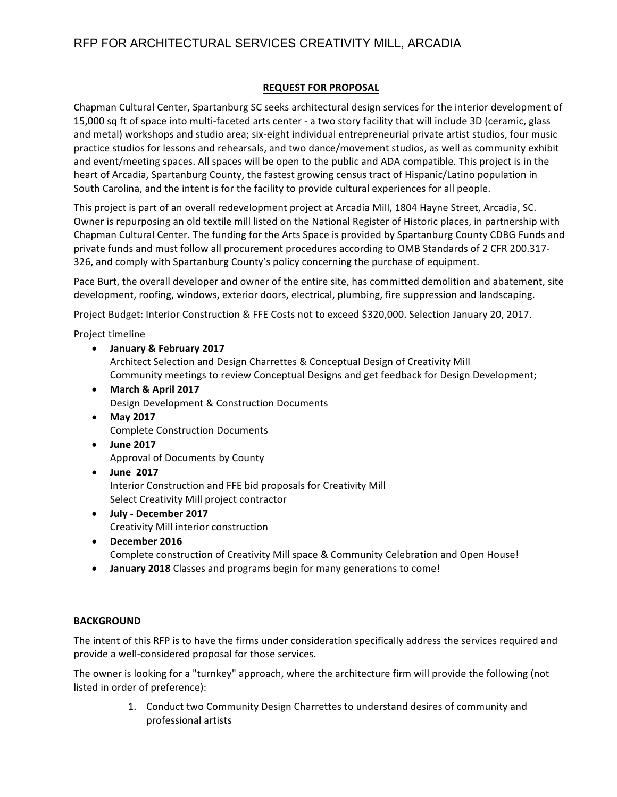#### **REQUEST FOR PROPOSAL**

Chapman Cultural Center, Spartanburg SC seeks architectural design services for the interior development of 15,000 sq ft of space into multi-faceted arts center - a two story facility that will include 3D (ceramic, glass and metal) workshops and studio area; six-eight individual entrepreneurial private artist studios, four music practice studios for lessons and rehearsals, and two dance/movement studios, as well as community exhibit and event/meeting spaces. All spaces will be open to the public and ADA compatible. This project is in the heart of Arcadia, Spartanburg County, the fastest growing census tract of Hispanic/Latino population in South Carolina, and the intent is for the facility to provide cultural experiences for all people.

This project is part of an overall redevelopment project at Arcadia Mill, 1804 Hayne Street, Arcadia, SC. Owner is repurposing an old textile mill listed on the National Register of Historic places, in partnership with Chapman Cultural Center. The funding for the Arts Space is provided by Spartanburg County CDBG Funds and private funds and must follow all procurement procedures according to OMB Standards of 2 CFR 200.317-326, and comply with Spartanburg County's policy concerning the purchase of equipment.

Pace Burt, the overall developer and owner of the entire site, has committed demolition and abatement, site development, roofing, windows, exterior doors, electrical, plumbing, fire suppression and landscaping.

Project Budget: Interior Construction & FFE Costs not to exceed \$320,000. Selection January 20, 2017.

Project timeline

- **January & February 2017** Architect Selection and Design Charrettes & Conceptual Design of Creativity Mill Community meetings to review Conceptual Designs and get feedback for Design Development;
- **March & April 2017** Design Development & Construction Documents
- **May 2017 Complete Construction Documents**
- **June 2017** Approval of Documents by County
- **June 2017** Interior Construction and FFE bid proposals for Creativity Mill Select Creativity Mill project contractor
- **July - December 2017** Creativity Mill interior construction
- December 2016 Complete construction of Creativity Mill space & Community Celebration and Open House!
- **January 2018** Classes and programs begin for many generations to come!

#### **BACKGROUND**

The intent of this RFP is to have the firms under consideration specifically address the services required and provide a well-considered proposal for those services.

The owner is looking for a "turnkey" approach, where the architecture firm will provide the following (not listed in order of preference):

> 1. Conduct two Community Design Charrettes to understand desires of community and professional artists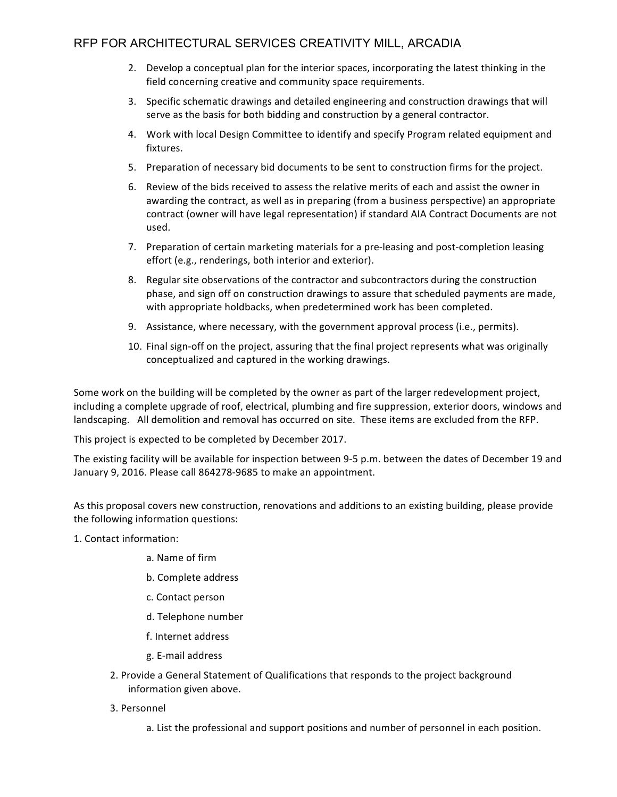- 2. Develop a conceptual plan for the interior spaces, incorporating the latest thinking in the field concerning creative and community space requirements.
- 3. Specific schematic drawings and detailed engineering and construction drawings that will serve as the basis for both bidding and construction by a general contractor.
- 4. Work with local Design Committee to identify and specify Program related equipment and fixtures.
- 5. Preparation of necessary bid documents to be sent to construction firms for the project.
- 6. Review of the bids received to assess the relative merits of each and assist the owner in awarding the contract, as well as in preparing (from a business perspective) an appropriate contract (owner will have legal representation) if standard AIA Contract Documents are not used.
- 7. Preparation of certain marketing materials for a pre-leasing and post-completion leasing effort (e.g., renderings, both interior and exterior).
- 8. Regular site observations of the contractor and subcontractors during the construction phase, and sign off on construction drawings to assure that scheduled payments are made, with appropriate holdbacks, when predetermined work has been completed.
- 9. Assistance, where necessary, with the government approval process (i.e., permits).
- 10. Final sign-off on the project, assuring that the final project represents what was originally conceptualized and captured in the working drawings.

Some work on the building will be completed by the owner as part of the larger redevelopment project, including a complete upgrade of roof, electrical, plumbing and fire suppression, exterior doors, windows and landscaping. All demolition and removal has occurred on site. These items are excluded from the RFP.

This project is expected to be completed by December 2017.

The existing facility will be available for inspection between 9-5 p.m. between the dates of December 19 and January 9, 2016. Please call 864278-9685 to make an appointment.

As this proposal covers new construction, renovations and additions to an existing building, please provide the following information questions:

- 1. Contact information:
	- a. Name of firm
	- b. Complete address
	- c. Contact person
	- d. Telephone number
	- f. Internet address
	- g. E-mail address
	- 2. Provide a General Statement of Qualifications that responds to the project background information given above.
	- 3. Personnel
		- a. List the professional and support positions and number of personnel in each position.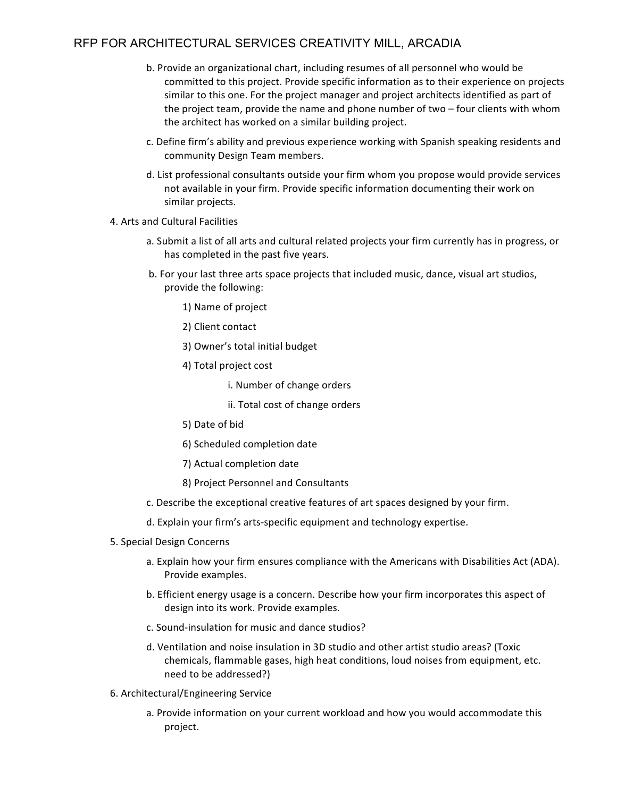- b. Provide an organizational chart, including resumes of all personnel who would be committed to this project. Provide specific information as to their experience on projects similar to this one. For the project manager and project architects identified as part of the project team, provide the name and phone number of two  $-$  four clients with whom the architect has worked on a similar building project.
- c. Define firm's ability and previous experience working with Spanish speaking residents and community Design Team members.
- d. List professional consultants outside your firm whom you propose would provide services not available in your firm. Provide specific information documenting their work on similar projects.
- 4. Arts and Cultural Facilities
	- a. Submit a list of all arts and cultural related projects your firm currently has in progress, or has completed in the past five years.
	- b. For your last three arts space projects that included music, dance, visual art studios, provide the following:
		- 1) Name of project
		- 2) Client contact
		- 3) Owner's total initial budget
		- 4) Total project cost
			- i. Number of change orders
			- ii. Total cost of change orders
		- 5) Date of bid
		- 6) Scheduled completion date
		- 7) Actual completion date
		- 8) Project Personnel and Consultants
	- c. Describe the exceptional creative features of art spaces designed by your firm.
	- d. Explain your firm's arts-specific equipment and technology expertise.
- 5. Special Design Concerns
	- a. Explain how your firm ensures compliance with the Americans with Disabilities Act (ADA). Provide examples.
	- b. Efficient energy usage is a concern. Describe how your firm incorporates this aspect of design into its work. Provide examples.
	- c. Sound-insulation for music and dance studios?
	- d. Ventilation and noise insulation in 3D studio and other artist studio areas? (Toxic chemicals, flammable gases, high heat conditions, loud noises from equipment, etc. need to be addressed?)
- 6. Architectural/Engineering Service
	- a. Provide information on your current workload and how you would accommodate this project.